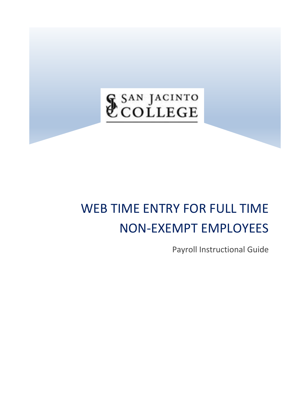# & SAN JACINTO

## WEB TIME ENTRY FOR FULL TIME NON‐EXEMPT EMPLOYEES

Payroll Instructional Guide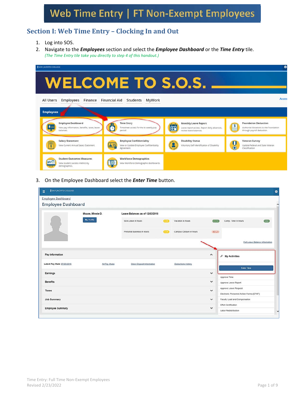## **Section I: Web Time Entry – Clocking In and Out**

- 1. Log into SOS.
- 2. Navigate to the *Employees* section and select the *Employee Dashboard* or the *Time Entry* tile. *(The Time Entry tile take you directly to step 4 of this handout.)*

| <b>\$ SAN JACINTO COLLEGE</b>                                                                 |                                                                                                |                                                                                                                              | ∗                                                                                                       |
|-----------------------------------------------------------------------------------------------|------------------------------------------------------------------------------------------------|------------------------------------------------------------------------------------------------------------------------------|---------------------------------------------------------------------------------------------------------|
| <b>WELCOME TO S.O.S.</b>                                                                      |                                                                                                |                                                                                                                              |                                                                                                         |
| All Users<br>Employees Finance Financial Aid<br><b>Employees</b>                              | Students<br>MyWork                                                                             |                                                                                                                              | <b>Acces</b>                                                                                            |
| <b>Employee Dashboard</b><br>View pay information, benefits, taxes, leave<br>balances.        | <b>Time Entry</b><br>C<br>Timesheet access for the bi-weekly pay<br>period                     | <b>Monthly Leave Report</b><br>$1 - 1$<br><b>FE</b><br>Leave report access. Report daily absences,<br>review leave balances. | <b>Foundation Deduction</b><br>L<br>Authorize donations to the Foundation<br>through payroll deduction. |
| <b>Salary Statement</b><br>View Current Annual Salary Statement.                              | <b>Employee Confidentiality</b><br>스틱<br>View or Update Employee Confidentiality<br>Agreement. | <b>Disability Status</b><br>Voluntary Self-Identification of Disability                                                      | Veteran Survey<br>$\frac{1}{\Omega}$<br>Update Federal and State Veteran<br>Classification              |
| <b>Student Outcomes Measures</b><br>KPI C<br>View student success metrics by<br>demographics. | <b>Workforce Demographics</b><br>O<br>View Workforce Demographic dashboards.                   |                                                                                                                              |                                                                                                         |

3. On the Employee Dashboard select the *Enter Time* button.

| <b>§ SAN JACINTO COLLEGE</b><br>m.                     |                   |                                 |         |                         |                     |                                          |                                |
|--------------------------------------------------------|-------------------|---------------------------------|---------|-------------------------|---------------------|------------------------------------------|--------------------------------|
| <b>Employee Dashboard</b><br><b>Employee Dashboard</b> |                   |                                 |         |                         |                     |                                          |                                |
|                                                        | Mouse, Minnie D.  | Leave Balances as of 12/03/2018 |         |                         |                     |                                          |                                |
|                                                        | <b>My Profile</b> | Sick Leave in hours             | 0.00    | Vacation in hours       | (15.53)             | Comp. Time in hours                      | (0.63)                         |
|                                                        |                   | Personal business in hours      | (1,0.0) | Campus Closure in hours | $-65.25$            |                                          |                                |
|                                                        |                   |                                 |         |                         |                     |                                          | Full Leave Balance Information |
| Pay Information                                        |                   |                                 |         |                         | $\hat{\phantom{a}}$ | / My Activities                          |                                |
| Latest Pay Stub: 07/25/2018                            | All Pay Stubs     | Direct Deposit Information      |         | Deductions History      |                     |                                          |                                |
| Earnings                                               |                   |                                 |         |                         | $\checkmark$        | <b>Enter Time</b>                        |                                |
|                                                        |                   |                                 |         |                         |                     | Approve Time                             |                                |
|                                                        |                   |                                 |         |                         |                     |                                          |                                |
|                                                        |                   |                                 |         |                         | v                   | Approve Leave Report                     |                                |
| <b>Benefits</b><br>Taxes                               |                   |                                 |         |                         | $\checkmark$        | Approve Leave Request                    |                                |
|                                                        |                   |                                 |         |                         |                     | Electronic Personnel Action Forms (EPAF) |                                |
|                                                        |                   |                                 |         |                         | $\checkmark$        | Faculty Load and Compensation            |                                |
| <b>Job Summary</b><br><b>Employee Summary</b>          |                   |                                 |         |                         | $\checkmark$        | Effort Certification                     |                                |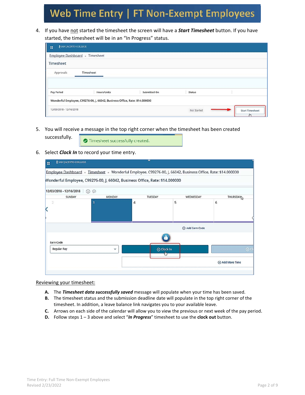4. If you have not started the timesheet the screen will have a *Start Timesheet* button. If you have started, the timesheet will be in an "In Progress" status.

| <b>§ SAN JACINTO COLLEGE</b><br>w |                                                                             |              |               |                        |
|-----------------------------------|-----------------------------------------------------------------------------|--------------|---------------|------------------------|
| Employee Dashboard . Timesheet    |                                                                             |              |               |                        |
| Timesheet                         |                                                                             |              |               |                        |
| Approvals                         | Timesheet                                                                   |              |               |                        |
|                                   |                                                                             |              |               |                        |
| <b>Pay Period</b>                 | <b>Hours/Units</b>                                                          | Submitted On | <b>Status</b> |                        |
|                                   | Wonderful Employee, C99276-00, J, 66042, Business Office, Rate: \$14.000000 |              |               |                        |
| 12/03/2018 - 12/16/2018           |                                                                             |              | Not Started   | <b>Start Timesheet</b> |

5. You will receive a message in the top right corner when the timesheet has been created

Timesheet successfully created.

6. Select *Clock In* to record your time entry.

successfully.

| <b>§ SAN JACINTO COLLEGE</b><br>m                                                                            |               |            |                 |                      |
|--------------------------------------------------------------------------------------------------------------|---------------|------------|-----------------|----------------------|
| Employee Dashboard · Timesheet · Wonderful Employee, C99276-00, J, 66042, Business Office, Rate: \$14.000000 |               |            |                 |                      |
| Wonderful Employee, C99276-00, J, 66042, Business Office, Rate: \$14.000000                                  |               |            |                 |                      |
| 12/03/2018 - 12/16/2018<br>$\odot$                                                                           |               |            |                 |                      |
| SUNDAY                                                                                                       | <b>MONDAY</b> | TUESDAY    | WEDNESDAY       | THURSDAY             |
| 3<br>2                                                                                                       |               | 4          | 5               | 6                    |
|                                                                                                              |               |            |                 |                      |
|                                                                                                              |               |            |                 |                      |
|                                                                                                              |               |            |                 |                      |
|                                                                                                              |               |            | + Add Earn Code |                      |
|                                                                                                              |               |            |                 |                      |
| Earn Code                                                                                                    |               |            |                 |                      |
| <b>Regular Pay</b>                                                                                           | v             | ⊙ Clock In |                 | $\odot$ Cl           |
|                                                                                                              |               |            |                 |                      |
|                                                                                                              |               |            |                 | <b>Add More Time</b> |
|                                                                                                              |               |            |                 |                      |
|                                                                                                              |               |            |                 |                      |

Reviewing your timesheet:

- **A.** The *Timesheet data successfully saved* message will populate when your time has been saved.
- **B.** The timesheet status and the submission deadline date will populate in the top right corner of the timesheet. In addition, a leave balance link navigates you to your available leave.
- **C.** Arrows on each side of the calendar will allow you to view the previous or next week of the pay period.
- **D.** Follow steps 1 3 above and select "*In Progress*" timesheet to use the **clock out** button.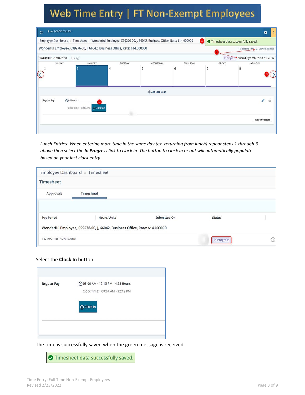| <b>&amp; SAN JACINTO COLLEGE</b><br>m                                                                        |                                           |         |               |          |                                         | ₩                                          |
|--------------------------------------------------------------------------------------------------------------|-------------------------------------------|---------|---------------|----------|-----------------------------------------|--------------------------------------------|
| Employee Dashboard · Timesheet · Wonderful Employee, C99276-00, J, 66042, Business Office, Rate: \$14.000000 |                                           |         |               |          | A<br>Timesheet data successfully saved. |                                            |
| Wonderful Employee, C99276-00, J, 66042, Business Office, Rate: \$14.000000                                  |                                           |         |               |          | B                                       | ○ Restart Time ⊙ Leave Balances            |
| $\odot$<br>12/03/2018 - 12/16/2018                                                                           |                                           |         |               |          |                                         | In Progress Submit By 12/17/2018, 11:59 PM |
| SUNDAY                                                                                                       | MONDAY                                    | TUESDAY | WEDNESDAY     | THURSDAY | FRIDAY                                  | SATURDAY                                   |
|                                                                                                              |                                           |         | Add Earn Code |          |                                         |                                            |
| ⊙08:00 AM -<br><b>Regular Pay</b>                                                                            | D)<br>⊙ Clock Out<br>Clock Time: 08:07 AM |         |               |          |                                         | ∕<br>$\Theta$                              |
|                                                                                                              |                                           |         |               |          |                                         | Total: 0.00 Hours                          |
|                                                                                                              |                                           |         |               |          |                                         |                                            |

Lunch Entries: When entering more time in the same day (ex. returning from lunch) repeat steps 1 through 3 above then select the In Progress link to clock in. The button to clock in or out will automatically populate *based on your last clock entry.* 

| Employee Dashboard . Timesheet |                                                                             |              |               |   |
|--------------------------------|-----------------------------------------------------------------------------|--------------|---------------|---|
| Timesheet                      |                                                                             |              |               |   |
| Approvals                      | Timesheet                                                                   |              |               |   |
|                                |                                                                             |              |               |   |
| <b>Pay Period</b>              | <b>Hours/Units</b>                                                          | Submitted On | <b>Status</b> |   |
|                                |                                                                             |              |               |   |
|                                | Wonderful Employee, C99276-00, J, 66042, Business Office, Rate: \$14.000000 |              |               |   |
| 11/19/2018 - 12/02/2018        |                                                                             |              | In Progress   | ∩ |

#### Select the **Clock In** button.

| <b>Regular Pay</b> | ◎ 08:00 AM - 12:15 PM 4.25 Hours |
|--------------------|----------------------------------|
|                    | Clock Time: 08:04 AM - 12:12 PM  |
|                    |                                  |
|                    | $\odot$ Clock In                 |
|                    |                                  |
|                    |                                  |

The time is successfully saved when the green message is received.

**O** Timesheet data successfully saved.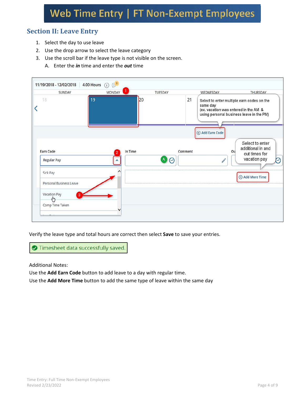## **Section II: Leave Entry**

- 1. Select the day to use leave
- 2. Use the drop arrow to select the leave category
- 3. Use the scroll bar if the leave type is not visible on the screen.
	- A. Enter the *in* time and enter the *out* time



Verify the leave type and total hours are correct then select **Save** to save your entries.

Timesheet data successfully saved.

Additional Notes:

Use the **Add Earn Code** button to add leave to a day with regular time.

Use the **Add More Time** button to add the same type of leave within the same day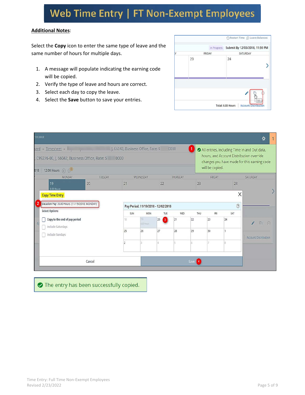#### **Additional Notes**:

Select the **Copy** icon to enter the same type of leave and the same number of hours for multiple days.

- 1. A message will populate indicating the earning code will be copied.
- 2. Verify the type of leave and hours are correct.
- 3. Select each day to copy the leave.
- 4. Select the **Save** button to save your entries.



| COLLEGE        |                                                                                                                                                  |               |                |                                                   |                               |          |        |                 |                     | Ķ.                                                                                                                                      |
|----------------|--------------------------------------------------------------------------------------------------------------------------------------------------|---------------|----------------|---------------------------------------------------|-------------------------------|----------|--------|-----------------|---------------------|-----------------------------------------------------------------------------------------------------------------------------------------|
| 018            | Dard Timesheet June 1, 66042, Business Office, Rate: \$<br>C99276-00, J, 66042, Business Office, Rate: \$ 0000<br>12.00 Hours (i) $\mathbb{S}^3$ |               |                |                                                   |                               | 0000     |        | will be copied. |                     | All entries, including Time In and Out data,<br>hours, and Account Distribution override<br>changes you have made for this earning code |
|                | <b>MONDAY</b><br>19                                                                                                                              | TUESDAY<br>20 | 21             | WEDNESDAY                                         | 22                            | THURSDAY | 23     | FRIDAY          | 24                  | SATURDAY                                                                                                                                |
| $\overline{2}$ | <b>Copy Time Entry</b><br>Vacation Pay: 8.00 Hours (11/19/2018, MONDAY)<br><b>Select Options</b>                                                 |               | SUN            | Pay Period: 11/19/2018 - 12/02/2018<br><b>MON</b> | TUE                           | WED      | THU    | FRI             | X<br>$\odot$<br>SAT |                                                                                                                                         |
| $\epsilon$     | Copy to the end of pay period<br>Include Saturdays                                                                                               |               | 18             | 19<br>8.00 Hours                                  | 20<br>$\overline{\mathbf{3}}$ | 21       | 22     | 23              | 24                  | i<br>而<br>$\Theta$                                                                                                                      |
|                | Include Sundays                                                                                                                                  |               | 25             | 26                                                | 27                            | 28       | 29     | 30              |                     | <b>Account Distribution</b>                                                                                                             |
|                |                                                                                                                                                  |               | $\overline{2}$ |                                                   | đ                             |          | 6      |                 |                     |                                                                                                                                         |
|                |                                                                                                                                                  | Cancel        |                |                                                   |                               |          | Save 4 |                 |                     |                                                                                                                                         |

The entry has been successfully copied.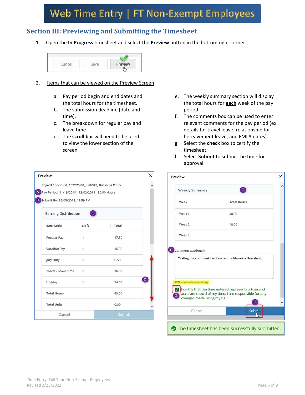## **Section III: Previewing and Submitting the Timesheet**

1. Open the **In Progress** timesheet and select the **Preview** button in the bottom right corner.



- 2. Items that can be viewed on the Preview Screen
	- a. Pay period begin and end dates and the total hours for the timesheet.
	- b. The submission deadline (date and time).
	- c. The breakdown for regular pay and leave time.
	- d. The **scroll bar** will need to be used to view the lower section of the screen.

| Payroll Specialist, C99276-00, J, 66042, Business Office                                      |              |       |  |
|-----------------------------------------------------------------------------------------------|--------------|-------|--|
| A Pay Period: 11/19/2018 - 12/02/2018 80.00 Hours<br><b>B</b> Submit By: 12/03/2018, 11:59 PM |              |       |  |
| <b>Earning Distribution</b>                                                                   | $\circ$      |       |  |
| Earn Code                                                                                     | Shift        | Total |  |
| Regular Pay                                                                                   | $\mathbf{1}$ | 17.50 |  |
| Vacation Pay                                                                                  | 1            | 16.00 |  |
| <b>Jury Duty</b>                                                                              | 1            | 6.50  |  |
| Travel - Leave Time                                                                           | 1            | 16.00 |  |
| Holiday                                                                                       | 1            | 24.00 |  |
| <b>Total Hours</b>                                                                            |              | 80.00 |  |
| <b>Total Units</b>                                                                            |              | 0.00  |  |

- e. The weekly summary section will display the total hours for **each** week of the pay period.
- f. The comments box can be used to enter relevant comments for the pay period (ex. details for travel leave, relationship for bereavement leave, and FMLA dates).
- g. Select the **check** box to certify the timesheet.
- h. Select **Submit** to submit the time for approval.

| <b>Weekly Summary</b>                            | $\mathsf E$                                                                                                   |
|--------------------------------------------------|---------------------------------------------------------------------------------------------------------------|
| Week                                             | <b>Total Hours</b>                                                                                            |
| Week 1                                           | 40.00                                                                                                         |
| Week 2                                           | 40.00                                                                                                         |
| Week 3                                           |                                                                                                               |
|                                                  | Testing the comments section on the biweekly timesheet.                                                       |
| Comment (Optional):<br>1945 characters remaining | I certify that the time entered represents a true and<br>accurate record of my time. I am responsible for any |
| changes made using my ID.                        | H                                                                                                             |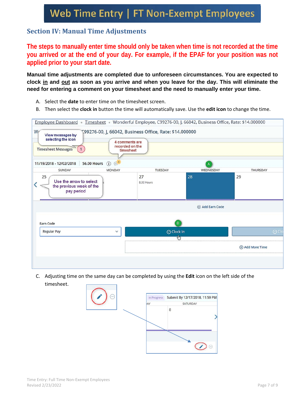## **Section IV: Manual Time Adjustments**

**The steps to manually enter time should only be taken when time is not recorded at the time you arrived or at the end of your day. For example, if the EPAF for your position was not applied prior to your start date.** 

**Manual time adjustments are completed due to unforeseen circumstances. You are expected to clock in and out as soon as you arrive and when you leave for the day. This will eliminate the need for entering a comment on your timesheet and the need to manually enter your time.** 

- A. Select the **date** to enter time on the timesheet screen.
- B. Then select the **clock in** button the time will automatically save. Use the **edit icon** to change the time.



C. Adjusting time on the same day can be completed by using the **Edit** icon on the left side of the timesheet.

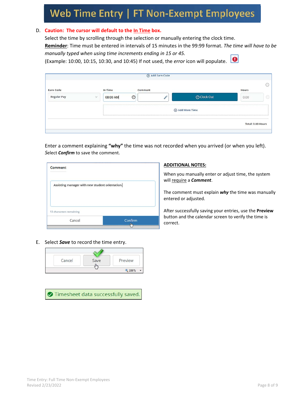#### D. **Caution: The cursor will default to the In Time box.**

Select the time by scrolling through the selection or manually entering the clock time. **Reminder**: Time must be entered in intervals of 15 minutes in the 99:99 format. *The time will have to be manually typed when using time increments ending in 15 or 45.* (Example: 10:00, 10:15, 10:30, and 10:45) If not used, the *error* icon will populate.

|                    |               |          |         | (+) Add Earn Code |                 |                   |         |
|--------------------|---------------|----------|---------|-------------------|-----------------|-------------------|---------|
| Earn Code          |               | In Time  | Comment |                   |                 | Hours             | Θ       |
| <b>Regular Pay</b> | $\mathcal{L}$ | 08:00 AM | $\odot$ |                   | ⊙ Clock Out     | 0.00              | $\odot$ |
|                    |               |          |         |                   | + Add More Time |                   |         |
|                    |               |          |         |                   |                 | Total: 0.00 Hours |         |

Enter a comment explaining **"why"** the time was not recorded when you arrived (or when you left). *S*elect *Confirm* to save the comment.

| Comment                                         |         |
|-------------------------------------------------|---------|
| Assisting manager with new student orientation. |         |
|                                                 |         |
| 13 characters remaining                         |         |
| Cancel                                          | Confirm |
|                                                 | رتان    |

#### **ADDITIONAL NOTES:**

When you manually enter or adjust time, the system will require a *Comment*.

The comment must explain *why* the time was manually entered or adjusted.

After successfully saving your entries, use the **Preview** button and the calendar screen to verify the time is correct.

E. Select *Save* to record the time entry.